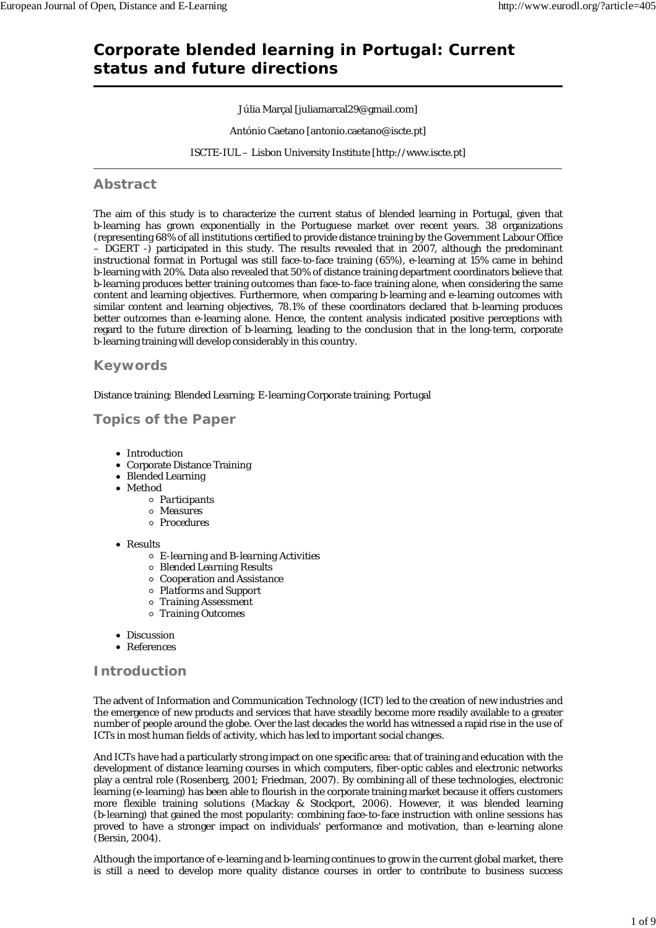# **Corporate blended learning in Portugal: Current status and future directions**

## Júlia Marçal [juliamarcal29@gmail.com]

António Caetano [antonio.caetano@iscte.pt]

ISCTE-IUL – Lisbon University Institute [http://www.iscte.pt]

## **Abstract**

The aim of this study is to characterize the current status of blended learning in Portugal, given that b-learning has grown exponentially in the Portuguese market over recent years. 38 organizations (representing 68% of all institutions certified to provide distance training by the Government Labour Office  $\overline{-}$  DGERT -) participated in this study. The results revealed that in 2007, although the predominant instructional format in Portugal was still face-to-face training (65%), e-learning at 15% came in behind b-learning with 20%. Data also revealed that 50% of distance training department coordinators believe that b-learning produces better training outcomes than face-to-face training alone, when considering the same content and learning objectives. Furthermore, when comparing b-learning and e-learning outcomes with similar content and learning objectives, 78.1% of these coordinators declared that b-learning produces better outcomes than e-learning alone. Hence, the content analysis indicated positive perceptions with regard to the future direction of b-learning, leading to the conclusion that in the long-term, corporate b-learning training will develop considerably in this country.

## **Keywords**

Distance training; Blended Learning; E-learning Corporate training; Portugal

## **Topics of the Paper**

- Introduction
- Corporate Distance Training
- Blended Learning
- Method
	- *Participants*
	- *Measures*
	- *Procedures*
- Results
	- *E-learning and B-learning Activities*
	- *Blended Learning Results*
	- *Cooperation and Assistance*
	- *Platforms and Support*
	- *Training Assessment*
	- *Training Outcomes*
- Discussion
- References

## **Introduction**

The advent of Information and Communication Technology (ICT) led to the creation of new industries and the emergence of new products and services that have steadily become more readily available to a greater number of people around the globe. Over the last decades the world has witnessed a rapid rise in the use of ICTs in most human fields of activity, which has led to important social changes.

And ICTs have had a particularly strong impact on one specific area: that of training and education with the development of distance learning courses in which computers, fiber-optic cables and electronic networks play a central role (Rosenberg, 2001; Friedman, 2007). By combining all of these technologies, electronic learning (e-learning) has been able to flourish in the corporate training market because it offers customers more flexible training solutions (Mackay & Stockport, 2006). However, it was blended learning (b-learning) that gained the most popularity: combining face-to-face instruction with online sessions has proved to have a stronger impact on individuals' performance and motivation, than e-learning alone (Bersin, 2004).

Although the importance of e-learning and b-learning continues to grow in the current global market, there is still a need to develop more quality distance courses in order to contribute to business success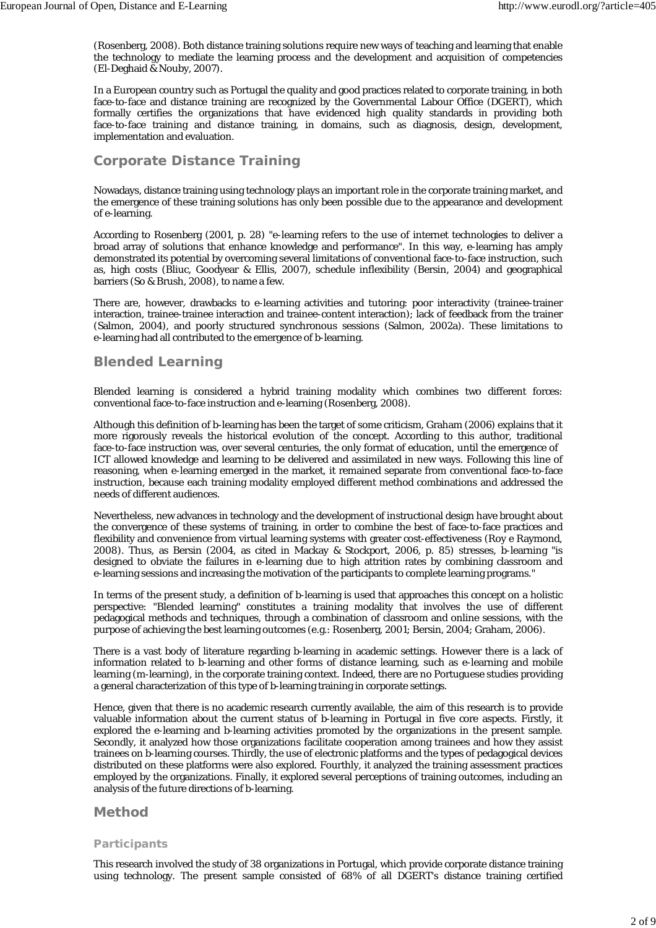(Rosenberg, 2008). Both distance training solutions require new ways of teaching and learning that enable the technology to mediate the learning process and the development and acquisition of competencies (El-Deghaid & Nouby, 2007).

In a European country such as Portugal the quality and good practices related to corporate training, in both face-to-face and distance training are recognized by the Governmental Labour Office (DGERT), which formally certifies the organizations that have evidenced high quality standards in providing both face-to-face training and distance training, in domains, such as diagnosis, design, development, implementation and evaluation.

## **Corporate Distance Training**

Nowadays, distance training using technology plays an important role in the corporate training market, and the emergence of these training solutions has only been possible due to the appearance and development of e-learning.

According to Rosenberg (2001, p. 28) "e-learning refers to the use of internet technologies to deliver a broad array of solutions that enhance knowledge and performance". In this way, e-learning has amply demonstrated its potential by overcoming several limitations of conventional face-to-face instruction, such as, high costs (Bliuc, Goodyear & Ellis, 2007), schedule inflexibility (Bersin, 2004) and geographical barriers (So & Brush, 2008), to name a few.

There are, however, drawbacks to e-learning activities and tutoring: poor interactivity (trainee-trainer interaction, trainee-trainee interaction and trainee-content interaction); lack of feedback from the trainer (Salmon, 2004), and poorly structured synchronous sessions (Salmon, 2002a). These limitations to e-learning had all contributed to the emergence of b-learning.

## **Blended Learning**

Blended learning is considered a hybrid training modality which combines two different forces: conventional face-to-face instruction and e-learning (Rosenberg, 2008).

Although this definition of b-learning has been the target of some criticism, Graham (2006) explains that it more rigorously reveals the historical evolution of the concept. According to this author, traditional face-to-face instruction was, over several centuries, the only format of education, until the emergence of ICT allowed knowledge and learning to be delivered and assimilated in new ways. Following this line of reasoning, when e-learning emerged in the market, it remained separate from conventional face-to-face instruction, because each training modality employed different method combinations and addressed the needs of different audiences.

Nevertheless, new advances in technology and the development of instructional design have brought about the convergence of these systems of training, in order to combine the best of face-to-face practices and flexibility and convenience from virtual learning systems with greater cost-effectiveness (Roy e Raymond, 2008). Thus, as Bersin (2004, as cited in Mackay & Stockport, 2006, p. 85) stresses, b-learning "is designed to obviate the failures in e-learning due to high attrition rates by combining classroom and e-learning sessions and increasing the motivation of the participants to complete learning programs."

In terms of the present study, a definition of b-learning is used that approaches this concept on a holistic perspective: "Blended learning" constitutes a training modality that involves the use of different pedagogical methods and techniques, through a combination of classroom and online sessions, with the purpose of achieving the best learning outcomes (e.g.: Rosenberg, 2001; Bersin, 2004; Graham, 2006).

There is a vast body of literature regarding b-learning in academic settings. However there is a lack of information related to b-learning and other forms of distance learning, such as e-learning and mobile learning (m-learning), in the corporate training context. Indeed, there are no Portuguese studies providing a general characterization of this type of b-learning training in corporate settings.

Hence, given that there is no academic research currently available, the aim of this research is to provide valuable information about the current status of b-learning in Portugal in five core aspects. Firstly, it explored the e-learning and b-learning activities promoted by the organizations in the present sample. Secondly, it analyzed how those organizations facilitate cooperation among trainees and how they assist trainees on b-learning courses. Thirdly, the use of electronic platforms and the types of pedagogical devices distributed on these platforms were also explored. Fourthly, it analyzed the training assessment practices employed by the organizations. Finally, it explored several perceptions of training outcomes, including an analysis of the future directions of b-learning.

## **Method**

## *Participants*

This research involved the study of 38 organizations in Portugal, which provide corporate distance training using technology. The present sample consisted of 68% of all DGERT's distance training certified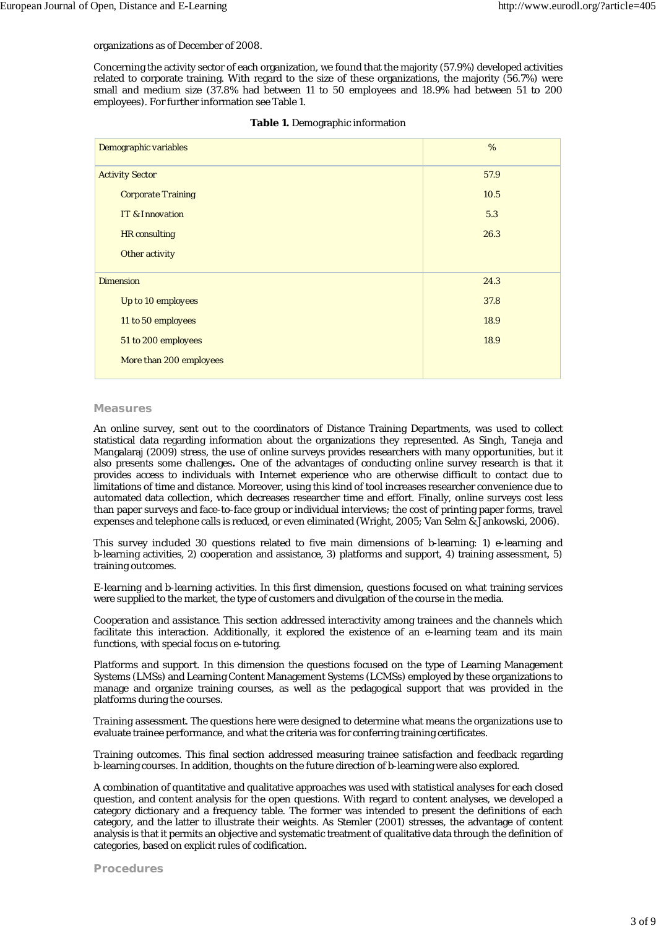#### organizations as of December of 2008.

Concerning the activity sector of each organization, we found that the majority (57.9%) developed activities related to corporate training. With regard to the size of these organizations, the majority (56.7%) were small and medium size (37.8% had between 11 to 50 employees and 18.9% had between 51 to 200 employees). For further information see Table 1.

| Demographic variables     | %    |
|---------------------------|------|
| <b>Activity Sector</b>    | 57.9 |
| <b>Corporate Training</b> | 10.5 |
| IT & Innovation           | 5.3  |
| <b>HR</b> consulting      | 26.3 |
| Other activity            |      |
| <b>Dimension</b>          | 24.3 |
| Up to 10 employees        | 37.8 |
| 11 to 50 employees        | 18.9 |
| 51 to 200 employees       | 18.9 |
| More than 200 employees   |      |

#### **Table 1.** Demographic information

#### *Measures*

An online survey, sent out to the coordinators of Distance Training Departments, was used to collect statistical data regarding information about the organizations they represented. As Singh, Taneja and Mangalaraj (2009) stress, the use of online surveys provides researchers with many opportunities, but it also presents some challenges*.* One of the advantages of conducting online survey research is that it provides access to individuals with Internet experience who are otherwise difficult to contact due to limitations of time and distance. Moreover, using this kind of tool increases researcher convenience due to automated data collection, which decreases researcher time and effort. Finally, online surveys cost less than paper surveys and face-to-face group or individual interviews; the cost of printing paper forms, travel expenses and telephone calls is reduced, or even eliminated (Wright, 2005; Van Selm & Jankowski, 2006).

This survey included 30 questions related to five main dimensions of b-learning: 1) e-learning and b-learning activities, 2) cooperation and assistance, 3) platforms and support, 4) training assessment, 5) training outcomes.

*E-learning and b-learning activities.* In this first dimension, questions focused on what training services were supplied to the market, the type of customers and divulgation of the course in the media.

*Cooperation and assistance.* This section addressed interactivity among trainees and the channels which facilitate this interaction. Additionally, it explored the existence of an e-learning team and its main functions, with special focus on e-tutoring.

*Platforms and support*. In this dimension the questions focused on the type of Learning Management Systems (LMSs) and Learning Content Management Systems (LCMSs) employed by these organizations to manage and organize training courses, as well as the pedagogical support that was provided in the platforms during the courses.

*Training assessment.* The questions here were designed to determine what means the organizations use to evaluate trainee performance, and what the criteria was for conferring training certificates.

*Training outcomes.* This final section addressed measuring trainee satisfaction and feedback regarding b-learning courses. In addition, thoughts on the future direction of b-learning were also explored.

A combination of quantitative and qualitative approaches was used with statistical analyses for each closed question, and content analysis for the open questions. With regard to content analyses, we developed a category dictionary and a frequency table. The former was intended to present the definitions of each category, and the latter to illustrate their weights. As Stemler (2001) stresses, the advantage of content analysis is that it permits an objective and systematic treatment of qualitative data through the definition of categories, based on explicit rules of codification.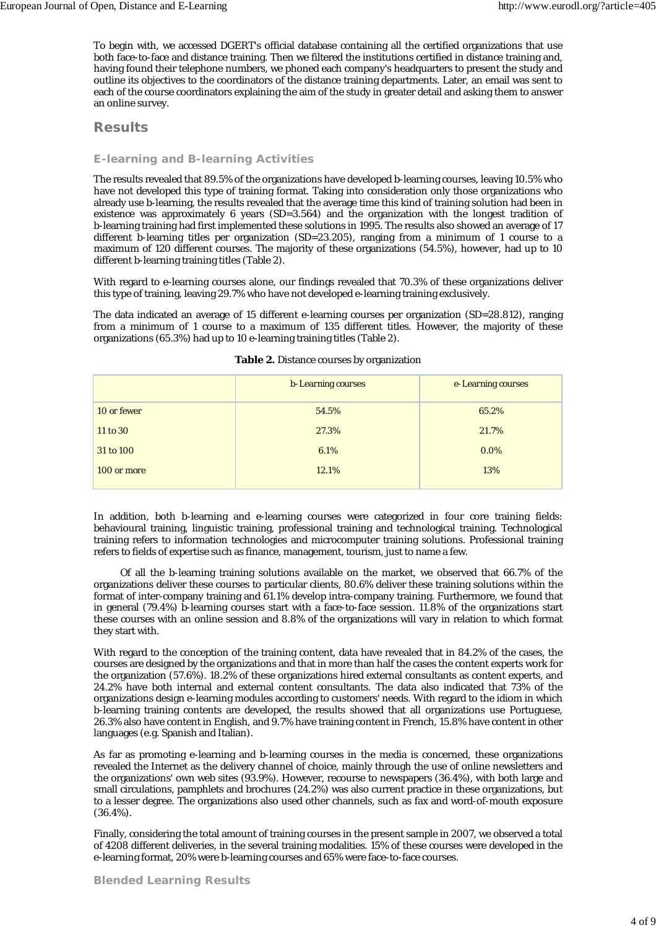To begin with, we accessed DGERT's official database containing all the certified organizations that use both face-to-face and distance training. Then we filtered the institutions certified in distance training and, having found their telephone numbers, we phoned each company's headquarters to present the study and outline its objectives to the coordinators of the distance training departments. Later, an email was sent to each of the course coordinators explaining the aim of the study in greater detail and asking them to answer an online survey.

## **Results**

## *E-learning and B-learning Activities*

The results revealed that 89.5% of the organizations have developed b-learning courses, leaving 10.5% who have not developed this type of training format. Taking into consideration only those organizations who already use b-learning, the results revealed that the average time this kind of training solution had been in existence was approximately 6 years (*SD*=3.564) and the organization with the longest tradition of b-learning training had first implemented these solutions in 1995. The results also showed an average of 17 different b-learning titles per organization (*SD*=23.205), ranging from a minimum of 1 course to a maximum of 120 different courses. The majority of these organizations (54.5%), however, had up to 10 different b-learning training titles (Table 2).

With regard to e-learning courses alone, our findings revealed that 70.3% of these organizations deliver this type of training, leaving 29.7% who have not developed e-learning training exclusively.

The data indicated an average of 15 different e-learning courses per organization (*SD*=28.812), ranging from a minimum of 1 course to a maximum of 135 different titles. However, the majority of these organizations (65.3%) had up to 10 e-learning training titles (Table 2).

|             | <b>b-Learning courses</b> | e-Learning courses |
|-------------|---------------------------|--------------------|
| 10 or fewer | 54.5%                     | 65.2%              |
| 11 to 30    | 27.3%                     | 21.7%              |
| 31 to 100   | 6.1%                      | $0.0\%$            |
| 100 or more | 12.1%                     | 13%                |
|             |                           |                    |

#### **Table 2.** Distance courses by organization

In addition, both b-learning and e-learning courses were categorized in four core training fields: behavioural training, linguistic training, professional training and technological training. Technological training refers to information technologies and microcomputer training solutions. Professional training refers to fields of expertise such as finance, management, tourism, just to name a few.

 Of all the b-learning training solutions available on the market, we observed that 66.7% of the organizations deliver these courses to particular clients, 80.6% deliver these training solutions within the format of inter-company training and 61.1% develop intra-company training. Furthermore, we found that in general (79.4%) b-learning courses start with a face-to-face session. 11.8% of the organizations start these courses with an online session and 8.8% of the organizations will vary in relation to which format they start with.

With regard to the conception of the training content, data have revealed that in 84.2% of the cases, the courses are designed by the organizations and that in more than half the cases the content experts work for the organization (57.6%). 18.2% of these organizations hired external consultants as content experts, and 24.2% have both internal and external content consultants. The data also indicated that 73% of the organizations design e-learning modules according to customers' needs. With regard to the idiom in which b-learning training contents are developed, the results showed that all organizations use Portuguese, 26.3% also have content in English, and 9.7% have training content in French, 15.8% have content in other languages (e.g. Spanish and Italian).

As far as promoting e-learning and b-learning courses in the media is concerned, these organizations revealed the Internet as the delivery channel of choice, mainly through the use of online newsletters and the organizations' own web sites (93.9%). However, recourse to newspapers (36.4%), with both large and small circulations, pamphlets and brochures (24.2%) was also current practice in these organizations, but to a lesser degree. The organizations also used other channels, such as fax and word-of-mouth exposure (36.4%).

Finally, considering the total amount of training courses in the present sample in 2007, we observed a total of 4208 different deliveries, in the several training modalities. 15% of these courses were developed in the e-learning format, 20% were b-learning courses and 65% were face-to-face courses.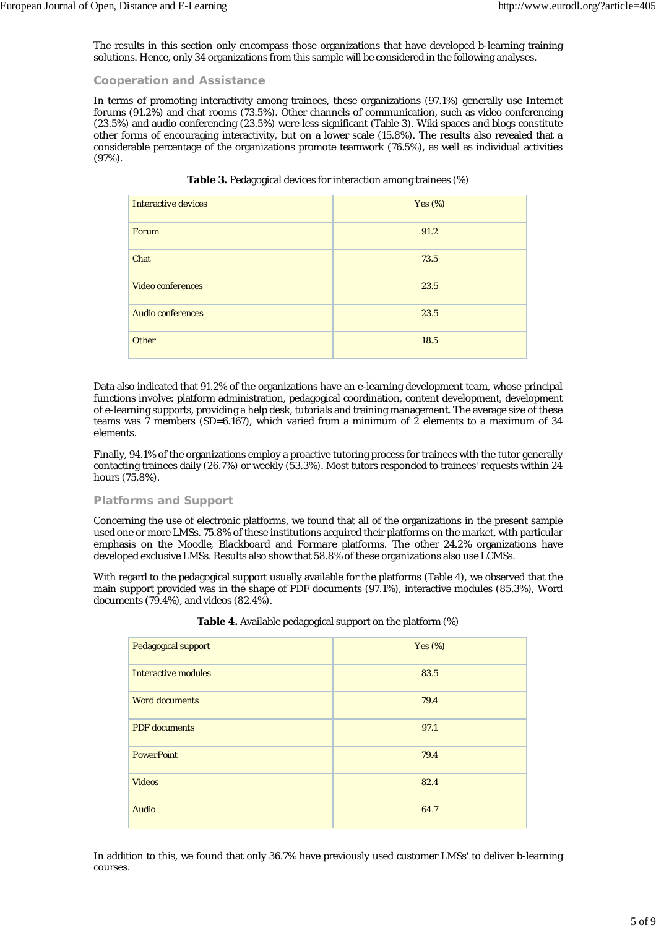The results in this section only encompass those organizations that have developed b-learning training solutions. Hence, only 34 organizations from this sample will be considered in the following analyses.

## *Cooperation and Assistance*

In terms of promoting interactivity among trainees, these organizations (97.1%) generally use Internet forums (91.2%) and chat rooms (73.5%). Other channels of communication, such as video conferencing (23.5%) and audio conferencing (23.5%) were less significant (Table 3). Wiki spaces and blogs constitute other forms of encouraging interactivity, but on a lower scale (15.8%). The results also revealed that a considerable percentage of the organizations promote teamwork (76.5%), as well as individual activities (97%).

| <b>Interactive devices</b> | Yes $(\%)$ |
|----------------------------|------------|
| Forum                      | 91.2       |
| Chat                       | 73.5       |
| <b>Video conferences</b>   | 23.5       |
| <b>Audio conferences</b>   | 23.5       |
| Other                      | 18.5       |

|  | Table 3. Pedagogical devices for interaction among trainees (%) |  |
|--|-----------------------------------------------------------------|--|
|--|-----------------------------------------------------------------|--|

Data also indicated that 91.2% of the organizations have an e-learning development team, whose principal functions involve: platform administration, pedagogical coordination, content development, development of e-learning supports, providing a help desk, tutorials and training management. The average size of these teams was 7 members (*SD*=6.167), which varied from a minimum of 2 elements to a maximum of 34 elements.

Finally, 94.1% of the organizations employ a proactive tutoring process for trainees with the tutor generally contacting trainees daily (26.7%) or weekly (53.3%). Most tutors responded to trainees' requests within 24 hours (75.8%).

## *Platforms and Support*

Concerning the use of electronic platforms, we found that all of the organizations in the present sample used one or more LMSs. 75.8% of these institutions acquired their platforms on the market, with particular emphasis on the *Moodle*, *Blackboard* and *Formare* platforms. The other 24.2% organizations have developed exclusive LMSs. Results also show that 58.8% of these organizations also use LCMSs.

With regard to the pedagogical support usually available for the platforms (Table 4), we observed that the main support provided was in the shape of PDF documents (97.1%), interactive modules (85.3%), Word documents (79.4%), and videos (82.4%).

| <b>Pedagogical support</b> | Yes $(\%)$ |
|----------------------------|------------|
| <b>Interactive modules</b> | 83.5       |
| <b>Word documents</b>      | 79.4       |
| <b>PDF</b> documents       | 97.1       |
| <b>PowerPoint</b>          | 79.4       |
| <b>Videos</b>              | 82.4       |
| <b>Audio</b>               | 64.7       |

|  | <b>Table 4.</b> Available pedagogical support on the platform (%) |
|--|-------------------------------------------------------------------|
|  |                                                                   |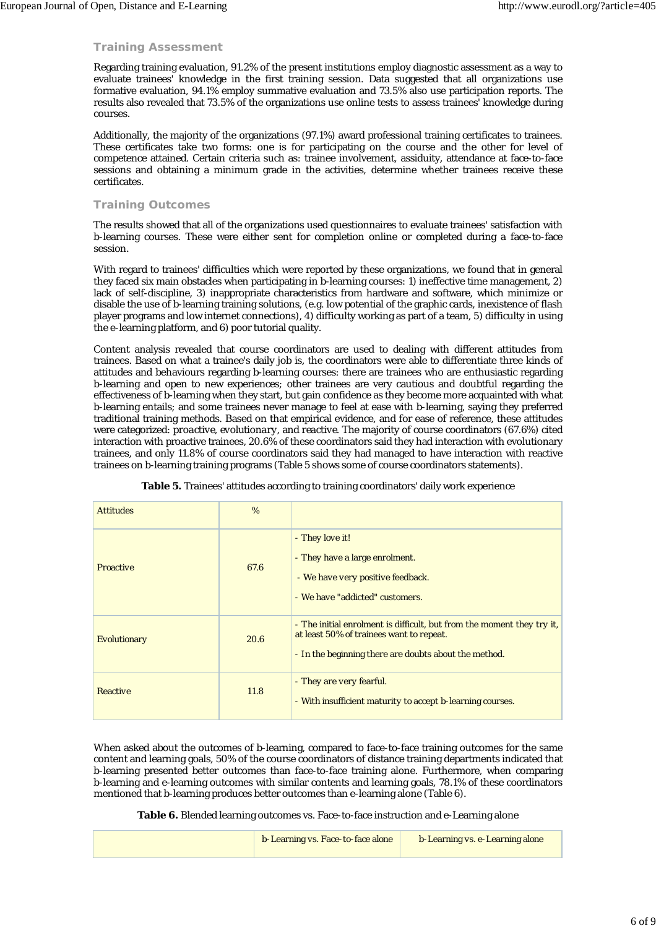## *Training Assessment*

Regarding training evaluation, 91.2% of the present institutions employ diagnostic assessment as a way to evaluate trainees' knowledge in the first training session. Data suggested that all organizations use formative evaluation, 94.1% employ summative evaluation and 73.5% also use participation reports. The results also revealed that 73.5% of the organizations use online tests to assess trainees' knowledge during courses.

Additionally, the majority of the organizations (97.1%) award professional training certificates to trainees. These certificates take two forms: one is for participating on the course and the other for level of competence attained. Certain criteria such as: trainee involvement, assiduity, attendance at face-to-face sessions and obtaining a minimum grade in the activities, determine whether trainees receive these certificates.

## *Training Outcomes*

The results showed that all of the organizations used questionnaires to evaluate trainees' satisfaction with b-learning courses. These were either sent for completion online or completed during a face-to-face session.

With regard to trainees' difficulties which were reported by these organizations, we found that in general they faced six main obstacles when participating in b-learning courses: 1) ineffective time management, 2) lack of self-discipline, 3) inappropriate characteristics from hardware and software, which minimize or disable the use of b-learning training solutions, (e.g. low potential of the graphic cards, inexistence of flash player programs and low internet connections), 4) difficulty working as part of a team, 5) difficulty in using the e-learning platform, and 6) poor tutorial quality.

Content analysis revealed that course coordinators are used to dealing with different attitudes from trainees. Based on what a trainee's daily job is, the coordinators were able to differentiate three kinds of attitudes and behaviours regarding b-learning courses: there are trainees who are enthusiastic regarding b-learning and open to new experiences; other trainees are very cautious and doubtful regarding the effectiveness of b-learning when they start, but gain confidence as they become more acquainted with what b-learning entails; and some trainees never manage to feel at ease with b-learning, saying they preferred traditional training methods. Based on that empirical evidence, and for ease of reference, these attitudes were categorized: *proactive*, *evolutionary,* and *reactive*. The majority of course coordinators (67.6%) cited interaction with proactive trainees, 20.6% of these coordinators said they had interaction with evolutionary trainees, and only 11.8% of course coordinators said they had managed to have interaction with reactive trainees on b-learning training programs (Table 5 shows some of course coordinators statements).

| <b>Attitudes</b>    | $\%$ |                                                                                                                                                                             |
|---------------------|------|-----------------------------------------------------------------------------------------------------------------------------------------------------------------------------|
| <b>Proactive</b>    | 67.6 | - They love it!<br>- They have a large enrolment.<br>- We have very positive feedback.<br>- We have "addicted" customers.                                                   |
| <b>Evolutionary</b> | 20.6 | - The initial enrolment is difficult, but from the moment they try it,<br>at least 50% of trainees want to repeat.<br>- In the beginning there are doubts about the method. |
| <b>Reactive</b>     | 11.8 | - They are very fearful.<br>- With insufficient maturity to accept b-learning courses.                                                                                      |

**Table 5.** Trainees' attitudes according to training coordinators' daily work experience

When asked about the outcomes of b-learning, compared to face-to-face training outcomes for the same content and learning goals, 50% of the course coordinators of distance training departments indicated that b-learning presented better outcomes than face-to-face training alone. Furthermore, when comparing b-learning and e-learning outcomes with similar contents and learning goals, 78.1% of these coordinators mentioned that b-learning produces better outcomes than e-learning alone (Table 6).

**Table 6.** Blended learning outcomes vs. Face-to-face instruction and e-Learning alone

|  | b-Learning vs. Face-to-face alone | b-Learning vs. e-Learning alone |
|--|-----------------------------------|---------------------------------|
|--|-----------------------------------|---------------------------------|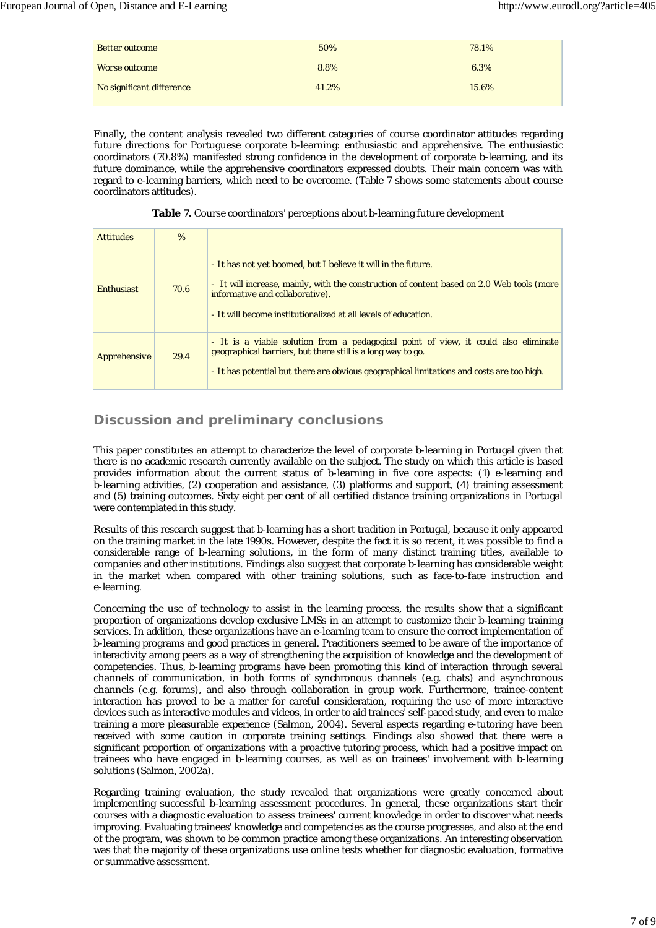| <b>Better outcome</b>     | 50%   | 78.1% |
|---------------------------|-------|-------|
| <b>Worse outcome</b>      | 8.8%  | 6.3%  |
| No significant difference | 41.2% | 15.6% |

Finally, the content analysis revealed two different categories of course coordinator attitudes regarding future directions for Portuguese corporate b-learning: *enthusiastic* and *apprehensive*. The enthusiastic coordinators (70.8%) manifested strong confidence in the development of corporate b-learning, and its future dominance, while the apprehensive coordinators expressed doubts. Their main concern was with regard to e-learning barriers, which need to be overcome. (Table 7 shows some statements about course coordinators attitudes).

| Table 7. Course coordinators' perceptions about b-learning future development |  |  |  |
|-------------------------------------------------------------------------------|--|--|--|
|-------------------------------------------------------------------------------|--|--|--|

| <b>Attitudes</b>  | $\%$ |                                                                                                                                                                                                                                                                 |
|-------------------|------|-----------------------------------------------------------------------------------------------------------------------------------------------------------------------------------------------------------------------------------------------------------------|
| <b>Enthusiast</b> | 70.6 | - It has not yet boomed, but I believe it will in the future.<br>- It will increase, mainly, with the construction of content based on 2.0 Web tools (more<br>informative and collaborative).<br>- It will become institutionalized at all levels of education. |
| Apprehensive      | 29.4 | - It is a viable solution from a pedagogical point of view, it could also eliminate<br>geographical barriers, but there still is a long way to go.<br>- It has potential but there are obvious geographical limitations and costs are too high.                 |

## **Discussion and preliminary conclusions**

This paper constitutes an attempt to characterize the level of corporate b-learning in Portugal given that there is no academic research currently available on the subject. The study on which this article is based provides information about the current status of b-learning in five core aspects: (1) e-learning and b-learning activities, (2) cooperation and assistance, (3) platforms and support, (4) training assessment and (5) training outcomes. Sixty eight per cent of all certified distance training organizations in Portugal were contemplated in this study.

Results of this research suggest that b-learning has a short tradition in Portugal, because it only appeared on the training market in the late 1990s. However, despite the fact it is so recent, it was possible to find a considerable range of b-learning solutions, in the form of many distinct training titles, available to companies and other institutions. Findings also suggest that corporate b-learning has considerable weight in the market when compared with other training solutions, such as face-to-face instruction and e-learning.

Concerning the use of technology to assist in the learning process, the results show that a significant proportion of organizations develop exclusive LMSs in an attempt to customize their b-learning training services. In addition, these organizations have an e-learning team to ensure the correct implementation of b-learning programs and good practices in general. Practitioners seemed to be aware of the importance of interactivity among peers as a way of strengthening the acquisition of knowledge and the development of competencies. Thus, b-learning programs have been promoting this kind of interaction through several channels of communication, in both forms of synchronous channels (e.g. chats) and asynchronous channels (e.g. forums), and also through collaboration in group work. Furthermore, trainee-content interaction has proved to be a matter for careful consideration, requiring the use of more interactive devices such as interactive modules and videos, in order to aid trainees' self-paced study, and even to make training a more pleasurable experience (Salmon, 2004). Several aspects regarding e-tutoring have been received with some caution in corporate training settings. Findings also showed that there were a significant proportion of organizations with a proactive tutoring process, which had a positive impact on trainees who have engaged in b-learning courses, as well as on trainees' involvement with b-learning solutions (Salmon, 2002a).

Regarding training evaluation, the study revealed that organizations were greatly concerned about implementing successful b-learning assessment procedures. In general, these organizations start their courses with a diagnostic evaluation to assess trainees' current knowledge in order to discover what needs improving. Evaluating trainees' knowledge and competencies as the course progresses, and also at the end of the program, was shown to be common practice among these organizations. An interesting observation was that the majority of these organizations use online tests whether for diagnostic evaluation, formative or summative assessment.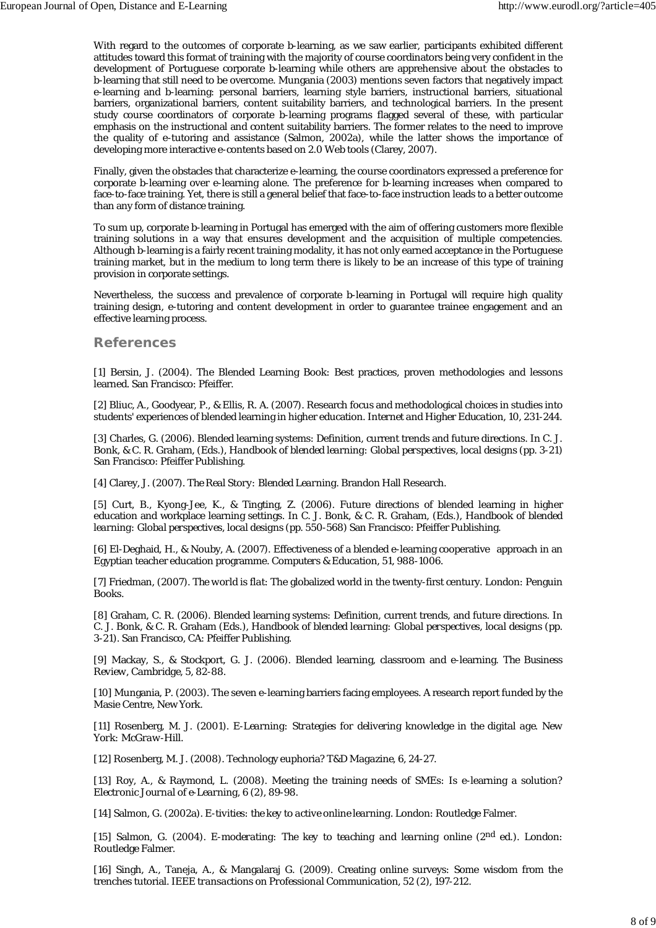With regard to the outcomes of corporate b-learning, as we saw earlier, participants exhibited different attitudes toward this format of training with the majority of course coordinators being very confident in the development of Portuguese corporate b-learning while others are apprehensive about the obstacles to b-learning that still need to be overcome. Mungania (2003) mentions seven factors that negatively impact e-learning and b-learning: personal barriers, learning style barriers, instructional barriers, situational barriers, organizational barriers, content suitability barriers, and technological barriers. In the present study course coordinators of corporate b-learning programs flagged several of these, with particular emphasis on the instructional and content suitability barriers. The former relates to the need to improve the quality of e-tutoring and assistance (Salmon, 2002a), while the latter shows the importance of developing more interactive e-contents based on 2.0 Web tools (Clarey, 2007).

Finally, given the obstacles that characterize e-learning, the course coordinators expressed a preference for corporate b-learning over e-learning alone. The preference for b-learning increases when compared to face-to-face training. Yet, there is still a general belief that face-to-face instruction leads to a better outcome than any form of distance training.

To sum up, corporate b-learning in Portugal has emerged with the aim of offering customers more flexible training solutions in a way that ensures development and the acquisition of multiple competencies. Although b-learning is a fairly recent training modality, it has not only earned acceptance in the Portuguese training market, but in the medium to long term there is likely to be an increase of this type of training provision in corporate settings.

Nevertheless, the success and prevalence of corporate b-learning in Portugal will require high quality training design, e-tutoring and content development in order to guarantee trainee engagement and an effective learning process.

### **References**

[1] Bersin, J. (2004). The Blended Learning Book: Best practices, proven methodologies and lessons learned. San Francisco: Pfeiffer.

[2] Bliuc, A., Goodyear, P., & Ellis, R. A. (2007). Research focus and methodological choices in studies into students' experiences of blended learning in higher education. *Internet and Higher Education*, *10*, 231-244.

[3] Charles, G. (2006). Blended learning systems: Definition, current trends and future directions. In C. J. Bonk, & C. R. Graham, (Eds.), *Handbook of blended learning: Global perspectives, local designs* (pp. 3-21) San Francisco: Pfeiffer Publishing.

[4] Clarey, J. (2007). *The Real Story: Blended Learning*. Brandon Hall Research.

[5] Curt, B., Kyong-Jee, K., & Tingting, Z. (2006). Future directions of blended learning in higher education and workplace learning settings. In C. J. Bonk, & C. R. Graham, (Eds.), *Handbook of blended learning: Global perspectives, local designs* (pp. 550-568) San Francisco: Pfeiffer Publishing.

[6] El-Deghaid, H., & Nouby, A. (2007). Effectiveness of a blended e-learning cooperative approach in an Egyptian teacher education programme. *Computers & Education*, *51*, 988-1006.

[7] Friedman, (2007). *The world is flat*: The globalized world in the twenty-first century. London: Penguin Books.

[8] Graham, C. R. (2006). Blended learning systems: Definition, current trends, and future directions. In C. J. Bonk, & C. R. Graham (Eds.), *Handbook of blended learning: Global perspectives, local designs* (pp. 3-21). San Francisco, CA: Pfeiffer Publishing.

[9] Mackay, S., & Stockport, G. J. (2006). Blended learning, classroom and e-learning. *The Business Review*, *Cambridge, 5*, 82-88.

[10] Mungania, P. (2003). The seven e-learning barriers facing employees. A research report funded by the Masie Centre, New York.

[11] Rosenberg, M. J. (2001). *E-Learning: Strategies for delivering knowledge in the digital age. New York: McGraw-Hill.*

[12] Rosenberg, M. J. (2008). Technology euphoria? *T&D Magazine*, *6*, 24-27.

[13] Roy, A., & Raymond, L. (2008). Meeting the training needs of SMEs: Is e-learning a solution? *Electronic Journal of e-Learning*, *6* (2), 89-98.

[14] Salmon, G. (2002a). *E-tivities: the key to active online learning*. London: Routledge Falmer.

[15] Salmon, G. (2004). *E-moderating: The key to teaching and learning online* (2<sup>nd</sup> ed.). London: Routledge Falmer.

[16] Singh, A., Taneja, A., & Mangalaraj G. (2009). Creating online surveys: Some wisdom from the trenches tutorial. *IEEE transactions on Professional Communication*, *52* (2), 197-212.